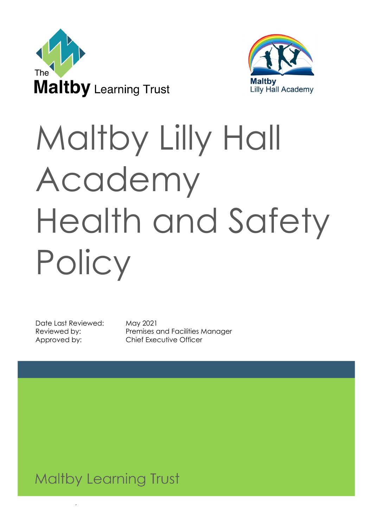



# Maltby Lilly Hall Academy Health and Safety **Policy**

Date Last Reviewed: May 2021

Reviewed by: Premises and Facilities Manager Approved by: Chief Executive Officer

Reviewed: May 2021 1

**Maltby Learning Trust**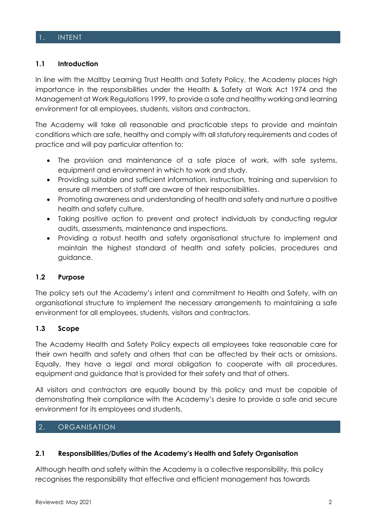#### 1. INTENT

#### **1.1 Introduction**

In line with the Maltby Learning Trust Health and Safety Policy, the Academy places high importance in the responsibilities under the Health & Safety at Work Act 1974 and the Management at Work Regulations 1999, to provide a safe and healthy working and learning environment for all employees, students, visitors and contractors.

The Academy will take all reasonable and practicable steps to provide and maintain conditions which are safe, healthy and comply with all statutory requirements and codes of practice and will pay particular attention to:

- The provision and maintenance of a safe place of work, with safe systems, equipment and environment in which to work and study.
- Providing suitable and sufficient information, instruction, training and supervision to ensure all members of staff are aware of their responsibilities.
- Promoting awareness and understanding of health and safety and nurture a positive health and safety culture.
- Taking positive action to prevent and protect individuals by conducting regular audits, assessments, maintenance and inspections.
- Providing a robust health and safety organisational structure to implement and maintain the highest standard of health and safety policies, procedures and guidance.

#### **1.2 Purpose**

The policy sets out the Academy's intent and commitment to Health and Safety, with an organisational structure to implement the necessary arrangements to maintaining a safe environment for all employees, students, visitors and contractors.

#### **1.3 Scope**

The Academy Health and Safety Policy expects all employees take reasonable care for their own health and safety and others that can be affected by their acts or omissions. Equally, they have a legal and moral obligation to cooperate with all procedures, equipment and guidance that is provided for their safety and that of others.

All visitors and contractors are equally bound by this policy and must be capable of demonstrating their compliance with the Academy's desire to provide a safe and secure environment for its employees and students.

#### 2. ORGANISATION

#### **2.1 Responsibilities/Duties of the Academy's Health and Safety Organisation**

Although health and safety within the Academy is a collective responsibility, this policy recognises the responsibility that effective and efficient management has towards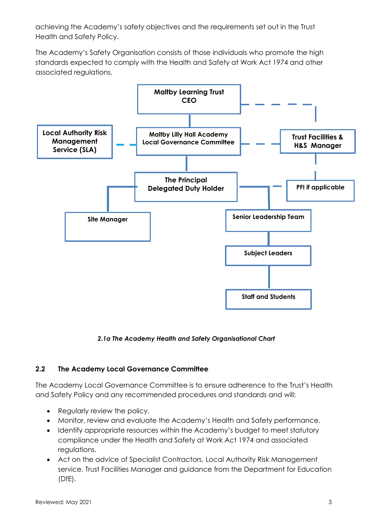achieving the Academy's safety objectives and the requirements set out in the Trust Health and Safety Policy.

The Academy's Safety Organisation consists of those individuals who promote the high standards expected to comply with the Health and Safety at Work Act 1974 and other associated regulations.



#### *2.1a The Academy Health and Safety Organisational Chart*

## **2.2 The Academy Local Governance Committee**

The Academy Local Governance Committee is to ensure adherence to the Trust's Health and Safety Policy and any recommended procedures and standards and will:

- Regularly review the policy.
- Monitor, review and evaluate the Academy's Health and Safety performance.
- Identify appropriate resources within the Academy's budget to meet statutory compliance under the Health and Safety at Work Act 1974 and associated regulations.
- Act on the advice of Specialist Contractors, Local Authority Risk Management service, Trust Facilities Manager and guidance from the Department for Education (DfE).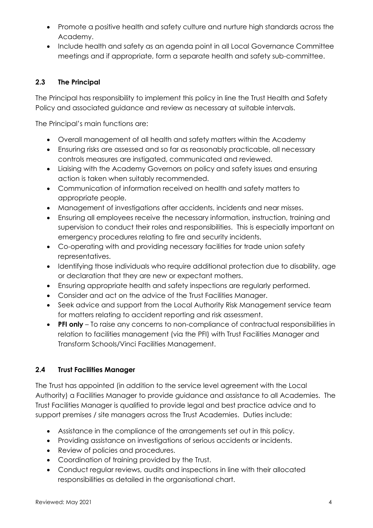- Promote a positive health and safety culture and nurture high standards across the Academy.
- Include health and safety as an agenda point in all Local Governance Committee meetings and if appropriate, form a separate health and safety sub-committee.

## **2.3 The Principal**

The Principal has responsibility to implement this policy in line the Trust Health and Safety Policy and associated guidance and review as necessary at suitable intervals.

The Principal's main functions are:

- Overall management of all health and safety matters within the Academy
- Ensuring risks are assessed and so far as reasonably practicable, all necessary controls measures are instigated, communicated and reviewed.
- Liaising with the Academy Governors on policy and safety issues and ensuring action is taken when suitably recommended.
- Communication of information received on health and safety matters to appropriate people.
- Management of investigations after accidents, incidents and near misses.
- Ensuring all employees receive the necessary information, instruction, training and supervision to conduct their roles and responsibilities. This is especially important on emergency procedures relating to fire and security incidents.
- Co-operating with and providing necessary facilities for trade union safety representatives.
- Identifying those individuals who require additional protection due to disability, age or declaration that they are new or expectant mothers.
- Ensuring appropriate health and safety inspections are regularly performed.
- Consider and act on the advice of the Trust Facilities Manager.
- Seek advice and support from the Local Authority Risk Management service team for matters relating to accident reporting and risk assessment.
- **PFI only**  To raise any concerns to non-compliance of contractual responsibilities in relation to facilities management (via the PFI) with Trust Facilities Manager and Transform Schools/Vinci Facilities Management.

# **2.4 Trust Facilities Manager**

The Trust has appointed (in addition to the service level agreement with the Local Authority) a Facilities Manager to provide guidance and assistance to all Academies. The Trust Facilities Manager is qualified to provide legal and best practice advice and to support premises / site managers across the Trust Academies. Duties include:

- Assistance in the compliance of the arrangements set out in this policy.
- Providing assistance on investigations of serious accidents or incidents.
- Review of policies and procedures.
- Coordination of training provided by the Trust.
- Conduct regular reviews, audits and inspections in line with their allocated responsibilities as detailed in the organisational chart.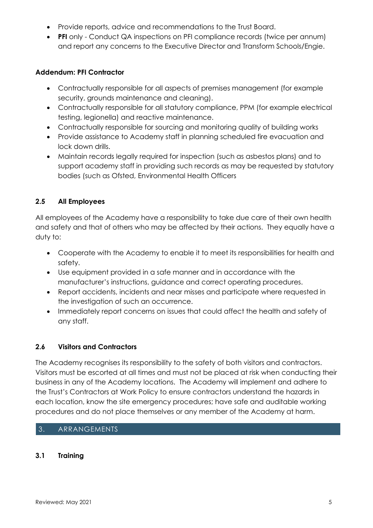- Provide reports, advice and recommendations to the Trust Board.
- **PFI** only Conduct QA inspections on PFI compliance records (twice per annum) and report any concerns to the Executive Director and Transform Schools/Engie.

#### **Addendum: PFI Contractor**

- Contractually responsible for all aspects of premises management (for example security, grounds maintenance and cleaning).
- Contractually responsible for all statutory compliance, PPM (for example electrical testing, legionella) and reactive maintenance.
- Contractually responsible for sourcing and monitoring quality of building works
- Provide assistance to Academy staff in planning scheduled fire evacuation and lock down drills.
- Maintain records legally required for inspection (such as asbestos plans) and to support academy staff in providing such records as may be requested by statutory bodies (such as Ofsted, Environmental Health Officers

## **2.5 All Employees**

All employees of the Academy have a responsibility to take due care of their own health and safety and that of others who may be affected by their actions. They equally have a duty to:

- Cooperate with the Academy to enable it to meet its responsibilities for health and safety.
- Use equipment provided in a safe manner and in accordance with the manufacturer's instructions, guidance and correct operating procedures.
- Report accidents, incidents and near misses and participate where requested in the investigation of such an occurrence.
- Immediately report concerns on issues that could affect the health and safety of any staff.

## **2.6 Visitors and Contractors**

The Academy recognises its responsibility to the safety of both visitors and contractors. Visitors must be escorted at all times and must not be placed at risk when conducting their business in any of the Academy locations. The Academy will implement and adhere to the Trust's Contractors at Work Policy to ensure contractors understand the hazards in each location, know the site emergency procedures; have safe and auditable working procedures and do not place themselves or any member of the Academy at harm.

#### 3. ARRANGEMENTS

#### **3.1 Training**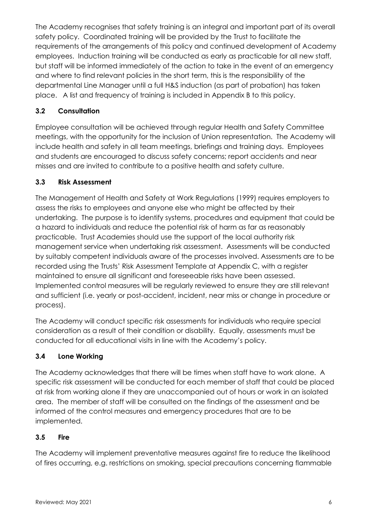The Academy recognises that safety training is an integral and important part of its overall safety policy. Coordinated training will be provided by the Trust to facilitate the requirements of the arrangements of this policy and continued development of Academy employees. Induction training will be conducted as early as practicable for all new staff, but staff will be informed immediately of the action to take in the event of an emergency and where to find relevant policies in the short term, this is the responsibility of the departmental Line Manager until a full H&S induction (as part of probation) has taken place. A list and frequency of training is included in Appendix B to this policy.

# **3.2 Consultation**

Employee consultation will be achieved through regular Health and Safety Committee meetings, with the opportunity for the inclusion of Union representation. The Academy will include health and safety in all team meetings, briefings and training days. Employees and students are encouraged to discuss safety concerns; report accidents and near misses and are invited to contribute to a positive health and safety culture.

## **3.3 Risk Assessment**

The Management of Health and Safety at Work Regulations (1999) requires employers to assess the risks to employees and anyone else who might be affected by their undertaking. The purpose is to identify systems, procedures and equipment that could be a hazard to individuals and reduce the potential risk of harm as far as reasonably practicable. Trust Academies should use the support of the local authority risk management service when undertaking risk assessment. Assessments will be conducted by suitably competent individuals aware of the processes involved. Assessments are to be recorded using the Trusts' Risk Assessment Template at Appendix C, with a register maintained to ensure all significant and foreseeable risks have been assessed. Implemented control measures will be regularly reviewed to ensure they are still relevant and sufficient (i.e. yearly or post-accident, incident, near miss or change in procedure or process).

The Academy will conduct specific risk assessments for individuals who require special consideration as a result of their condition or disability. Equally, assessments must be conducted for all educational visits in line with the Academy's policy.

## **3.4 Lone Working**

The Academy acknowledges that there will be times when staff have to work alone. A specific risk assessment will be conducted for each member of staff that could be placed at risk from working alone if they are unaccompanied out of hours or work in an isolated area. The member of staff will be consulted on the findings of the assessment and be informed of the control measures and emergency procedures that are to be implemented.

## **3.5 Fire**

The Academy will implement preventative measures against fire to reduce the likelihood of fires occurring, e.g. restrictions on smoking, special precautions concerning flammable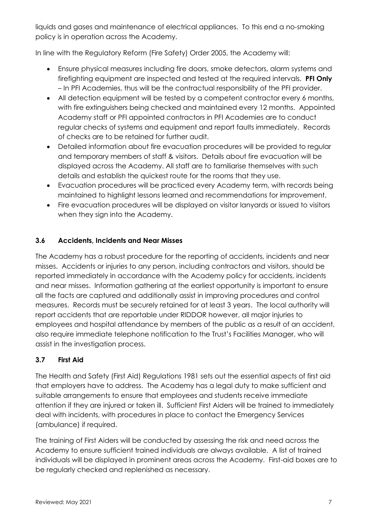liquids and gases and maintenance of electrical appliances. To this end a no-smoking policy is in operation across the Academy.

In line with the Regulatory Reform (Fire Safety) Order 2005, the Academy will:

- Ensure physical measures including fire doors, smoke detectors, alarm systems and firefighting equipment are inspected and tested at the required intervals. **PFI Only** – In PFI Academies, thus will be the contractual responsibility of the PFI provider.
- All detection equipment will be tested by a competent contractor every 6 months, with fire extinguishers being checked and maintained every 12 months. Appointed Academy staff or PFI appointed contractors in PFI Academies are to conduct regular checks of systems and equipment and report faults immediately. Records of checks are to be retained for further audit.
- Detailed information about fire evacuation procedures will be provided to regular and temporary members of staff & visitors. Details about fire evacuation will be displayed across the Academy. All staff are to familiarise themselves with such details and establish the quickest route for the rooms that they use.
- Evacuation procedures will be practiced every Academy term, with records being maintained to highlight lessons learned and recommendations for improvement.
- Fire evacuation procedures will be displayed on visitor lanyards or issued to visitors when they sign into the Academy.

# **3.6 Accidents, Incidents and Near Misses**

The Academy has a robust procedure for the reporting of accidents, incidents and near misses. Accidents or injuries to any person, including contractors and visitors, should be reported immediately in accordance with the Academy policy for accidents, incidents and near misses. Information gathering at the earliest opportunity is important to ensure all the facts are captured and additionally assist in improving procedures and control measures. Records must be securely retained for at least 3 years. The local authority will report accidents that are reportable under RIDDOR however, all major injuries to employees and hospital attendance by members of the public as a result of an accident, also require immediate telephone notification to the Trust's Facilities Manager, who will assist in the investigation process.

# **3.7 First Aid**

The Health and Safety (First Aid) Regulations 1981 sets out the essential aspects of first aid that employers have to address. The Academy has a legal duty to make sufficient and suitable arrangements to ensure that employees and students receive immediate attention if they are injured or taken ill. Sufficient First Aiders will be trained to immediately deal with incidents, with procedures in place to contact the Emergency Services (ambulance) if required.

The training of First Aiders will be conducted by assessing the risk and need across the Academy to ensure sufficient trained individuals are always available. A list of trained individuals will be displayed in prominent areas across the Academy. First-aid boxes are to be regularly checked and replenished as necessary.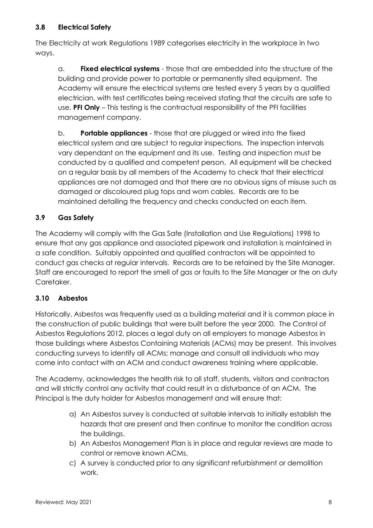## **3.8 Electrical Safety**

The Electricity at work Regulations 1989 categorises electricity in the workplace in two ways.

a. **Fixed electrical systems** - those that are embedded into the structure of the building and provide power to portable or permanently sited equipment. The Academy will ensure the electrical systems are tested every 5 years by a qualified electrician, with test certificates being received stating that the circuits are safe to use. **PFI Only** – This testing is the contractual responsibility of the PFI facilities management company.

b. **Portable appliances** - those that are plugged or wired into the fixed electrical system and are subject to regular inspections. The inspection intervals vary dependant on the equipment and its use. Testing and inspection must be conducted by a qualified and competent person. All equipment will be checked on a regular basis by all members of the Academy to check that their electrical appliances are not damaged and that there are no obvious signs of misuse such as damaged or discoloured plug tops and worn cables. Records are to be maintained detailing the frequency and checks conducted on each item.

# **3.9 Gas Safety**

The Academy will comply with the Gas Safe (Installation and Use Regulations) 1998 to ensure that any gas appliance and associated pipework and installation is maintained in a safe condition. Suitably appointed and qualified contractors will be appointed to conduct gas checks at regular intervals. Records are to be retained by the Site Manager. Staff are encouraged to report the smell of gas or faults to the Site Manager or the on duty Caretaker.

## **3.10 Asbestos**

Historically, Asbestos was frequently used as a building material and it is common place in the construction of public buildings that were built before the year 2000. The Control of Asbestos Regulations 2012, places a legal duty on all employers to manage Asbestos in those buildings where Asbestos Containing Materials (ACMs) may be present. This involves conducting surveys to identify all ACMs; manage and consult all individuals who may come into contact with an ACM and conduct awareness training where applicable.

The Academy, acknowledges the health risk to all staff, students, visitors and contractors and will strictly control any activity that could result in a disturbance of an ACM. The Principal is the duty holder for Asbestos management and will ensure that:

- a) An Asbestos survey is conducted at suitable intervals to initially establish the hazards that are present and then continue to monitor the condition across the buildings.
- b) An Asbestos Management Plan is in place and regular reviews are made to control or remove known ACMs.
- c) A survey is conducted prior to any significant refurbishment or demolition work.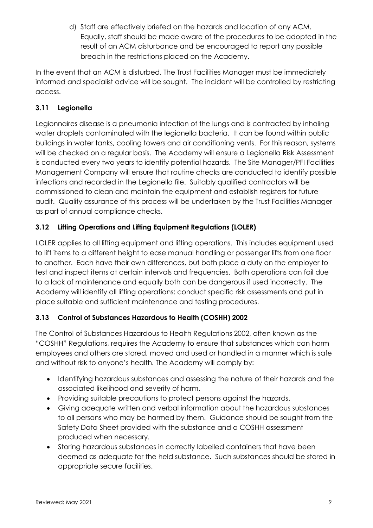d) Staff are effectively briefed on the hazards and location of any ACM. Equally, staff should be made aware of the procedures to be adopted in the result of an ACM disturbance and be encouraged to report any possible breach in the restrictions placed on the Academy.

In the event that an ACM is disturbed, The Trust Facilities Manager must be immediately informed and specialist advice will be sought. The incident will be controlled by restricting access.

## **3.11 Legionella**

Legionnaires disease is a pneumonia infection of the lungs and is contracted by inhaling water droplets contaminated with the legionella bacteria. It can be found within public buildings in water tanks, cooling towers and air conditioning vents. For this reason, systems will be checked on a regular basis. The Academy will ensure a Legionella Risk Assessment is conducted every two years to identify potential hazards. The Site Manager/PFI Facilities Management Company will ensure that routine checks are conducted to identify possible infections and recorded in the Legionella file. Suitably qualified contractors will be commissioned to clean and maintain the equipment and establish registers for future audit. Quality assurance of this process will be undertaken by the Trust Facilities Manager as part of annual compliance checks.

# **3.12 Lifting Operations and Lifting Equipment Regulations (LOLER)**

LOLER applies to all lifting equipment and lifting operations. This includes equipment used to lift items to a different height to ease manual handling or passenger lifts from one floor to another. Each have their own differences, but both place a duty on the employer to test and inspect items at certain intervals and frequencies. Both operations can fail due to a lack of maintenance and equally both can be dangerous if used incorrectly. The Academy will identify all lifting operations; conduct specific risk assessments and put in place suitable and sufficient maintenance and testing procedures.

# **3.13 Control of Substances Hazardous to Health (COSHH) 2002**

The Control of Substances Hazardous to Health Regulations 2002, often known as the "COSHH" Regulations, requires the Academy to ensure that substances which can harm employees and others are stored, moved and used or handled in a manner which is safe and without risk to anyone's health. The Academy will comply by:

- Identifying hazardous substances and assessing the nature of their hazards and the associated likelihood and severity of harm.
- Providing suitable precautions to protect persons against the hazards.
- Giving adequate written and verbal information about the hazardous substances to all persons who may be harmed by them. Guidance should be sought from the Safety Data Sheet provided with the substance and a COSHH assessment produced when necessary.
- Storing hazardous substances in correctly labelled containers that have been deemed as adequate for the held substance. Such substances should be stored in appropriate secure facilities.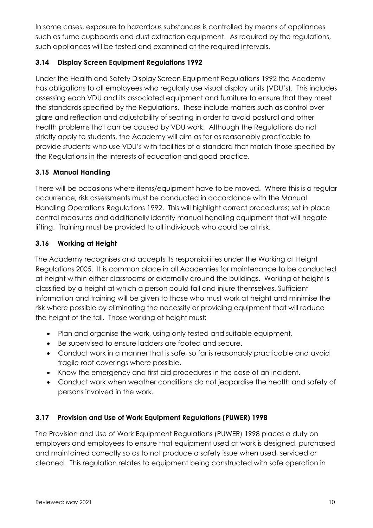In some cases, exposure to hazardous substances is controlled by means of appliances such as fume cupboards and dust extraction equipment. As required by the regulations, such appliances will be tested and examined at the required intervals.

## **3.14 Display Screen Equipment Regulations 1992**

Under the Health and Safety Display Screen Equipment Regulations 1992 the Academy has obligations to all employees who regularly use visual display units (VDU's). This includes assessing each VDU and its associated equipment and furniture to ensure that they meet the standards specified by the Regulations. These include matters such as control over glare and reflection and adjustability of seating in order to avoid postural and other health problems that can be caused by VDU work. Although the Regulations do not strictly apply to students, the Academy will aim as far as reasonably practicable to provide students who use VDU's with facilities of a standard that match those specified by the Regulations in the interests of education and good practice.

## **3.15 Manual Handling**

There will be occasions where items/equipment have to be moved. Where this is a regular occurrence, risk assessments must be conducted in accordance with the Manual Handling Operations Regulations 1992. This will highlight correct procedures; set in place control measures and additionally identify manual handling equipment that will negate lifting. Training must be provided to all individuals who could be at risk.

## **3.16 Working at Height**

The Academy recognises and accepts its responsibilities under the Working at Height Regulations 2005. It is common place in all Academies for maintenance to be conducted at height within either classrooms or externally around the buildings. Working at height is classified by a height at which a person could fall and injure themselves. Sufficient information and training will be given to those who must work at height and minimise the risk where possible by eliminating the necessity or providing equipment that will reduce the height of the fall. Those working at height must:

- Plan and organise the work, using only tested and suitable equipment.
- Be supervised to ensure ladders are footed and secure.
- Conduct work in a manner that is safe, so far is reasonably practicable and avoid fragile roof coverings where possible.
- Know the emergency and first aid procedures in the case of an incident.
- Conduct work when weather conditions do not jeopardise the health and safety of persons involved in the work.

## **3.17 Provision and Use of Work Equipment Regulations (PUWER) 1998**

The Provision and Use of Work Equipment Regulations (PUWER) 1998 places a duty on employers and employees to ensure that equipment used at work is designed, purchased and maintained correctly so as to not produce a safety issue when used, serviced or cleaned. This regulation relates to equipment being constructed with safe operation in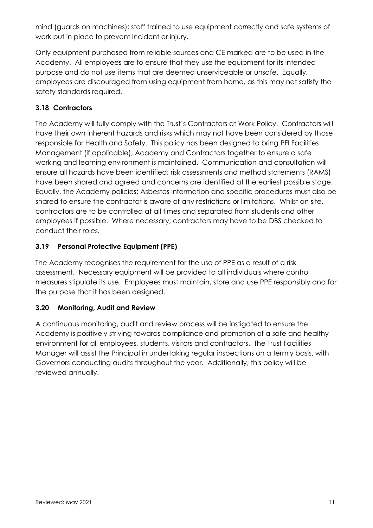mind (guards on machines); staff trained to use equipment correctly and safe systems of work put in place to prevent incident or injury.

Only equipment purchased from reliable sources and CE marked are to be used in the Academy. All employees are to ensure that they use the equipment for its intended purpose and do not use items that are deemed unserviceable or unsafe. Equally, employees are discouraged from using equipment from home, as this may not satisfy the safety standards required.

# **3.18 Contractors**

The Academy will fully comply with the Trust's Contractors at Work Policy. Contractors will have their own inherent hazards and risks which may not have been considered by those responsible for Health and Safety. This policy has been designed to bring PFI Facilities Management (if applicable), Academy and Contractors together to ensure a safe working and learning environment is maintained. Communication and consultation will ensure all hazards have been identified; risk assessments and method statements (RAMS) have been shared and agreed and concerns are identified at the earliest possible stage. Equally, the Academy policies; Asbestos information and specific procedures must also be shared to ensure the contractor is aware of any restrictions or limitations. Whilst on site, contractors are to be controlled at all times and separated from students and other employees if possible. Where necessary, contractors may have to be DBS checked to conduct their roles.

## **3.19 Personal Protective Equipment (PPE)**

The Academy recognises the requirement for the use of PPE as a result of a risk assessment. Necessary equipment will be provided to all individuals where control measures stipulate its use. Employees must maintain, store and use PPE responsibly and for the purpose that it has been designed.

# **3.20 Monitoring, Audit and Review**

A continuous monitoring, audit and review process will be instigated to ensure the Academy is positively striving towards compliance and promotion of a safe and healthy environment for all employees, students, visitors and contractors. The Trust Facilities Manager will assist the Principal in undertaking regular inspections on a termly basis, with Governors conducting audits throughout the year. Additionally, this policy will be reviewed annually.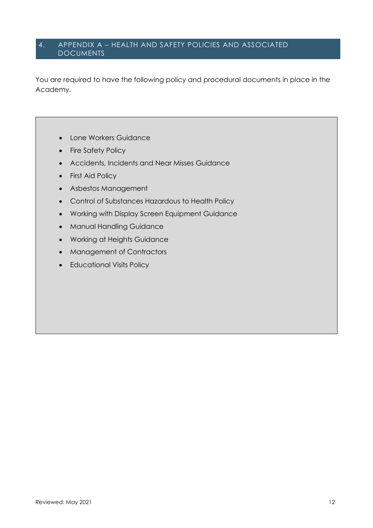#### 4. APPENDIX A – HEALTH AND SAFETY POLICIES AND ASSOCIATED **DOCUMENTS**

You are required to have the following policy and procedural documents in place in the Academy.

- Lone Workers Guidance
- Fire Safety Policy
- Accidents, Incidents and Near Misses Guidance
- First Aid Policy
- Asbestos Management
- Control of Substances Hazardous to Health Policy
- Working with Display Screen Equipment Guidance
- Manual Handling Guidance
- Working at Heights Guidance
- Management of Contractors
- Educational Visits Policy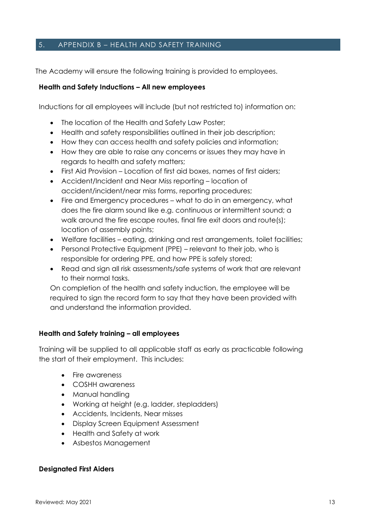#### 5. APPENDIX B – HEALTH AND SAFETY TRAINING

The Academy will ensure the following training is provided to employees.

#### **Health and Safety Inductions – All new employees**

Inductions for all employees will include (but not restricted to) information on:

- The location of the Health and Safety Law Poster;
- Health and safety responsibilities outlined in their job description;
- How they can access health and safety policies and information;
- How they are able to raise any concerns or issues they may have in regards to health and safety matters;
- First Aid Provision Location of first aid boxes, names of first aiders;
- Accident/Incident and Near Miss reporting location of accident/incident/near miss forms, reporting procedures;
- Fire and Emergency procedures what to do in an emergency, what does the fire alarm sound like e.g. continuous or intermittent sound; a walk around the fire escape routes, final fire exit doors and route(s); location of assembly points;
- Welfare facilities eating, drinking and rest arrangements, toilet facilities;
- Personal Protective Equipment (PPE) relevant to their job, who is responsible for ordering PPE, and how PPE is safely stored;
- Read and sign all risk assessments/safe systems of work that are relevant to their normal tasks.

On completion of the health and safety induction, the employee will be required to sign the record form to say that they have been provided with and understand the information provided.

#### **Health and Safety training – all employees**

Training will be supplied to all applicable staff as early as practicable following the start of their employment. This includes:

- Fire awareness
- COSHH awareness
- Manual handling
- Working at height (e.g. ladder, stepladders)
- Accidents, Incidents, Near misses
- Display Screen Equipment Assessment
- Health and Safety at work
- Asbestos Management

#### **Designated First Aiders**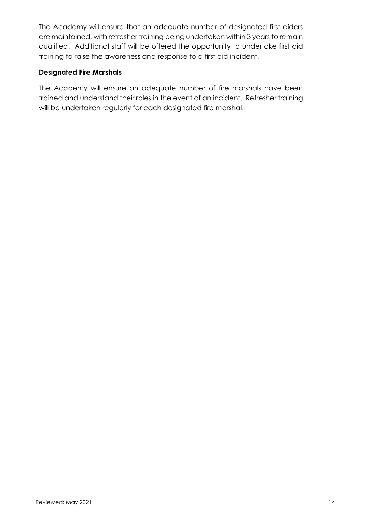The Academy will ensure that an adequate number of designated first aiders are maintained, with refresher training being undertaken within 3 years to remain qualified. Additional staff will be offered the opportunity to undertake first aid training to raise the awareness and response to a first aid incident.

#### **Designated Fire Marshals**

The Academy will ensure an adequate number of fire marshals have been trained and understand their roles in the event of an incident. Refresher training will be undertaken regularly for each designated fire marshal.